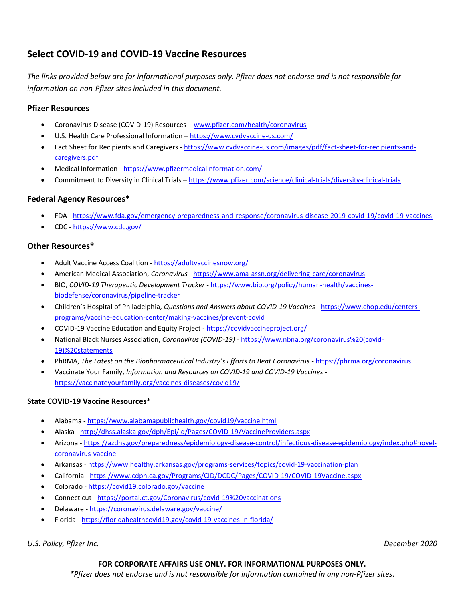# Select COVID-19 and COVID-19 Vaccine Resources

The links provided below are for informational purposes only. Pfizer does not endorse and is not responsible for information on non-Pfizer sites included in this document.

## Pfizer Resources

- Coronavirus Disease (COVID-19) Resources www.pfizer.com/health/coronavirus
- U.S. Health Care Professional Information https://www.cvdvaccine-us.com/
- Fact Sheet for Recipients and Caregivers https://www.cvdvaccine-us.com/images/pdf/fact-sheet-for-recipients-andcaregivers.pdf
- Medical Information https://www.pfizermedicalinformation.com/
- Commitment to Diversity in Clinical Trials https://www.pfizer.com/science/clinical-trials/diversity-clinical-trials

# Federal Agency Resources\*

- FDA https://www.fda.gov/emergency-preparedness-and-response/coronavirus-disease-2019-covid-19/covid-19-vaccines
- CDC https://www.cdc.gov/

### Other Resources\*

- Adult Vaccine Access Coalition https://adultvaccinesnow.org/
- American Medical Association, Coronavirus https://www.ama-assn.org/delivering-care/coronavirus
- BIO, COVID-19 Therapeutic Development Tracker https://www.bio.org/policy/human-health/vaccinesbiodefense/coronavirus/pipeline-tracker
- Children's Hospital of Philadelphia, Questions and Answers about COVID-19 Vaccines https://www.chop.edu/centersprograms/vaccine-education-center/making-vaccines/prevent-covid
- COVID-19 Vaccine Education and Equity Project https://covidvaccineproject.org/
- National Black Nurses Association, Coronavirus (COVID-19) https://www.nbna.org/coronavirus%20(covid-19)%20statements
- PhRMA, The Latest on the Biopharmaceutical Industry's Efforts to Beat Coronavirus https://phrma.org/coronavirus
- Vaccinate Your Family, Information and Resources on COVID-19 and COVID-19 Vaccines https://vaccinateyourfamily.org/vaccines-diseases/covid19/

#### State COVID-19 Vaccine Resources\*

- Alabama https://www.alabamapublichealth.gov/covid19/vaccine.html
- Alaska http://dhss.alaska.gov/dph/Epi/id/Pages/COVID-19/VaccineProviders.aspx
- Arizona https://azdhs.gov/preparedness/epidemiology-disease-control/infectious-disease-epidemiology/index.php#novelcoronavirus-vaccine
- Arkansas https://www.healthy.arkansas.gov/programs-services/topics/covid-19-vaccination-plan
- California https://www.cdph.ca.gov/Programs/CID/DCDC/Pages/COVID-19/COVID-19Vaccine.aspx
- Colorado https://covid19.colorado.gov/vaccine
- Connecticut https://portal.ct.gov/Coronavirus/covid-19%20vaccinations
- Delaware https://coronavirus.delaware.gov/vaccine/
- Florida https://floridahealthcovid19.gov/covid-19-vaccines-in-florida/

U.S. Policy, Pfizer Inc. December 2020

#### FOR CORPORATE AFFAIRS USE ONLY. FOR INFORMATIONAL PURPOSES ONLY.

\*Pfizer does not endorse and is not responsible for information contained in any non-Pfizer sites.